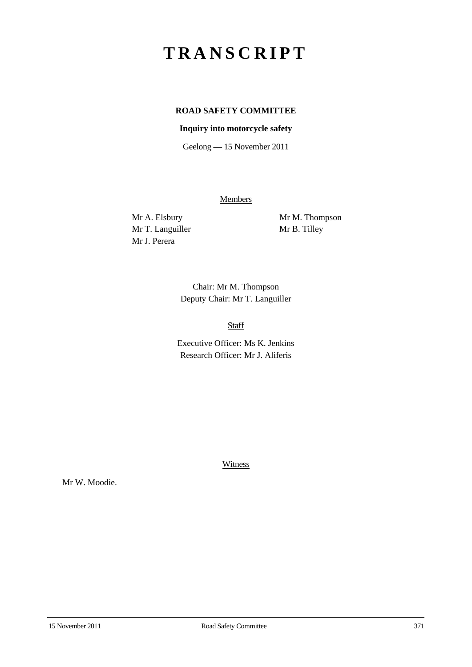## **TRANSCRIPT**

## **ROAD SAFETY COMMITTEE**

## **Inquiry into motorcycle safety**

Geelong — 15 November 2011

**Members** 

Mr T. Languiller Mr B. Tilley Mr J. Perera

Mr A. Elsbury Mr M. Thompson

Chair: Mr M. Thompson Deputy Chair: Mr T. Languiller

Staff

Executive Officer: Ms K. Jenkins Research Officer: Mr J. Aliferis

Witness

Mr W. Moodie.